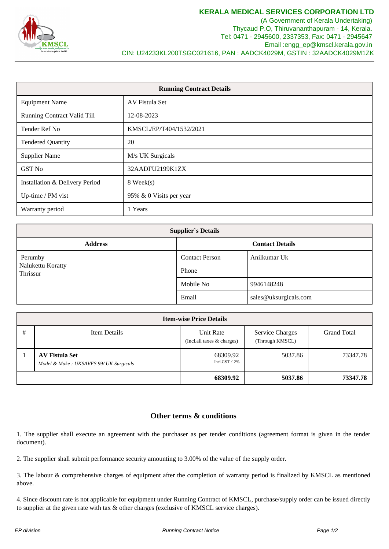

(A Government of Kerala Undertaking) Thycaud P.O, Thiruvananthapuram - 14, Kerala. Tel: 0471 - 2945600, 2337353, Fax: 0471 - 2945647 Email :engg\_ep@kmscl.kerala.gov.in CIN: U24233KL200TSGC021616, PAN : AADCK4029M, GSTIN : 32AADCK4029M1ZK

| <b>Running Contract Details</b>    |                         |  |  |
|------------------------------------|-------------------------|--|--|
| <b>Equipment Name</b>              | AV Fistula Set          |  |  |
| <b>Running Contract Valid Till</b> | 12-08-2023              |  |  |
| Tender Ref No                      | KMSCL/EP/T404/1532/2021 |  |  |
| <b>Tendered Quantity</b>           | 20                      |  |  |
| <b>Supplier Name</b>               | M/s UK Surgicals        |  |  |
| <b>GST No</b>                      | 32AADFU2199K1ZX         |  |  |
| Installation & Delivery Period     | 8 Week(s)               |  |  |
| Up-time / PM vist                  | 95% & 0 Visits per year |  |  |
| Warranty period                    | 1 Years                 |  |  |

| <b>Supplier's Details</b>     |                        |                       |  |  |  |  |
|-------------------------------|------------------------|-----------------------|--|--|--|--|
| <b>Address</b>                | <b>Contact Details</b> |                       |  |  |  |  |
| Perumby                       | <b>Contact Person</b>  | Anilkumar Uk          |  |  |  |  |
| Nalukettu Koratty<br>Thrissur | Phone                  |                       |  |  |  |  |
|                               | Mobile No              | 9946148248            |  |  |  |  |
|                               | Email                  | sales@uksurgicals.com |  |  |  |  |

| <b>Item-wise Price Details</b> |                                                                 |                                          |                                           |                    |  |  |
|--------------------------------|-----------------------------------------------------------------|------------------------------------------|-------------------------------------------|--------------------|--|--|
| #                              | Item Details                                                    | Unit Rate<br>(Incl. all taxes & charges) | <b>Service Charges</b><br>(Through KMSCL) | <b>Grand Total</b> |  |  |
|                                | <b>AV Fistula Set</b><br>Model & Make: UKSAVFS 99/ UK Surgicals | 68309.92<br>Incl.GST:12%                 | 5037.86                                   | 73347.78           |  |  |
|                                |                                                                 | 68309.92                                 | 5037.86                                   | 73347.78           |  |  |

## **Other terms & conditions**

1. The supplier shall execute an agreement with the purchaser as per tender conditions (agreement format is given in the tender document).

2. The supplier shall submit performance security amounting to 3.00% of the value of the supply order.

3. The labour & comprehensive charges of equipment after the completion of warranty period is finalized by KMSCL as mentioned above.

4. Since discount rate is not applicable for equipment under Running Contract of KMSCL, purchase/supply order can be issued directly to supplier at the given rate with tax & other charges (exclusive of KMSCL service charges).